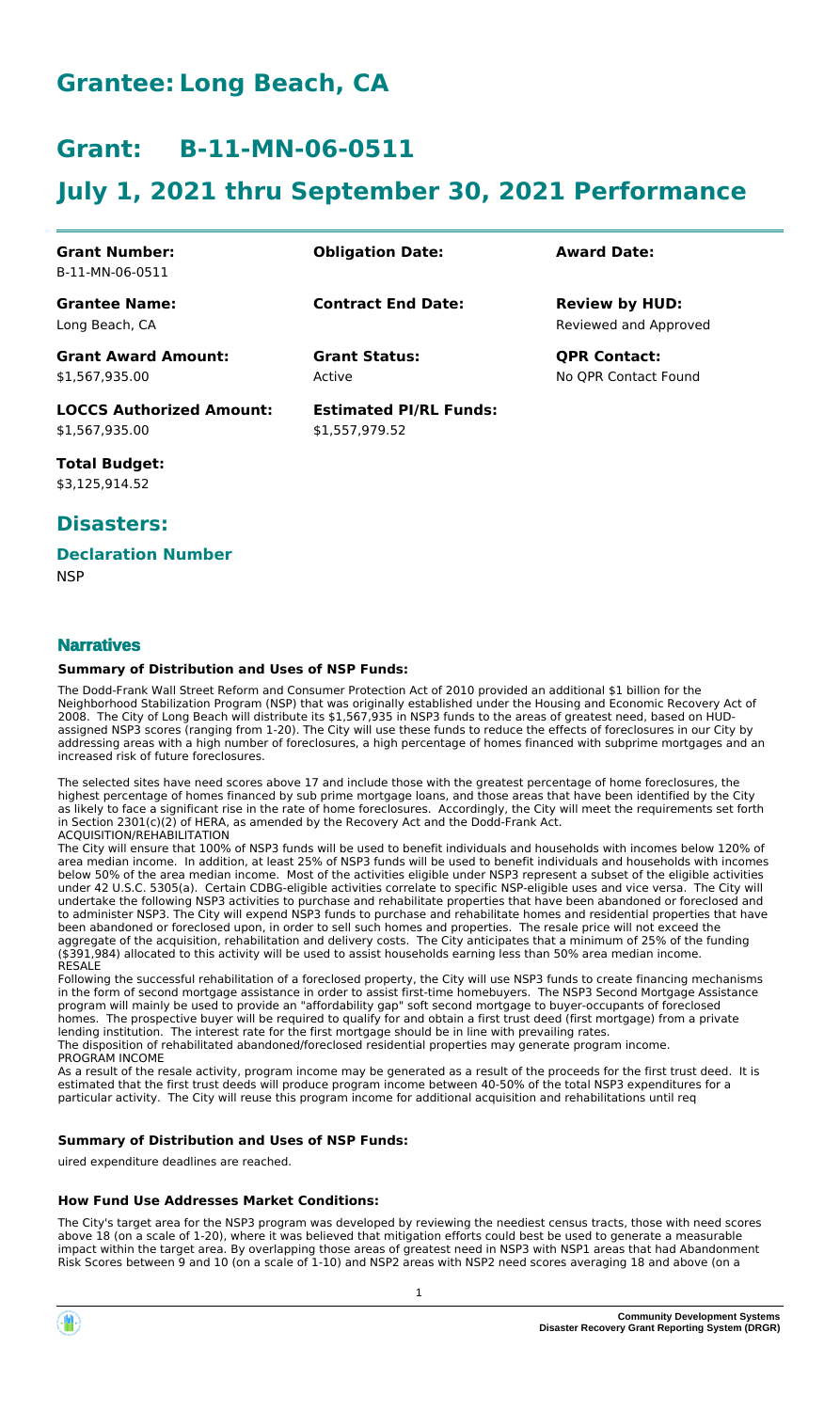# **Grantee: Long Beach, CA**

# **Grant: B-11-MN-06-0511**

# **July 1, 2021 thru September 30, 2021 Performance**

| <b>Grant Number:</b>            | <b>Obligation Date:</b>       | <b>Award Date:</b>    |
|---------------------------------|-------------------------------|-----------------------|
| B-11-MN-06-0511                 |                               |                       |
| <b>Grantee Name:</b>            | <b>Contract End Date:</b>     | <b>Review by HUD:</b> |
| Long Beach, CA                  |                               | Reviewed and Approved |
| <b>Grant Award Amount:</b>      | <b>Grant Status:</b>          | <b>QPR Contact:</b>   |
| \$1,567,935.00                  | Active                        | No OPR Contact Found  |
| <b>LOCCS Authorized Amount:</b> | <b>Estimated PI/RL Funds:</b> |                       |
| \$1,567,935.00                  | \$1,557,979.52                |                       |

**Total Budget:** \$3,125,914.52

## **Disasters:**

### **Declaration Number**

**NSP** 

### **Narratives**

### **Summary of Distribution and Uses of NSP Funds:**

The Dodd-Frank Wall Street Reform and Consumer Protection Act of 2010 provided an additional \$1 billion for the Neighborhood Stabilization Program (NSP) that was originally established under the Housing and Economic Recovery Act of 2008. The City of Long Beach will distribute its \$1,567,935 in NSP3 funds to the areas of greatest need, based on HUDassigned NSP3 scores (ranging from 1-20). The City will use these funds to reduce the effects of foreclosures in our City by addressing areas with a high number of foreclosures, a high percentage of homes financed with subprime mortgages and an increased risk of future foreclosures.

The selected sites have need scores above 17 and include those with the greatest percentage of home foreclosures, the highest percentage of homes financed by sub prime mortgage loans, and those areas that have been identified by the City as likely to face a significant rise in the rate of home foreclosures. Accordingly, the City will meet the requirements set forth in Section 2301(c)(2) of HERA, as amended by the Recovery Act and the Dodd-Frank Act. ACQUISITION/REHABILITATION

The City will ensure that 100% of NSP3 funds will be used to benefit individuals and households with incomes below 120% of area median income. In addition, at least 25% of NSP3 funds will be used to benefit individuals and households with incomes below 50% of the area median income. Most of the activities eligible under NSP3 represent a subset of the eligible activities under 42 U.S.C. 5305(a). Certain CDBG-eligible activities correlate to specific NSP-eligible uses and vice versa. The City will undertake the following NSP3 activities to purchase and rehabilitate properties that have been abandoned or foreclosed and to administer NSP3. The City will expend NSP3 funds to purchase and rehabilitate homes and residential properties that have been abandoned or foreclosed upon, in order to sell such homes and properties. The resale price will not exceed the aggregate of the acquisition, rehabilitation and delivery costs. The City anticipates that a minimum of 25% of the funding (\$391,984) allocated to this activity will be used to assist households earning less than 50% area median income. RESALE

Following the successful rehabilitation of a foreclosed property, the City will use NSP3 funds to create financing mechanisms in the form of second mortgage assistance in order to assist first-time homebuyers. The NSP3 Second Mortgage Assistance program will mainly be used to provide an "affordability gap" soft second mortgage to buyer-occupants of foreclosed homes. The prospective buyer will be required to qualify for and obtain a first trust deed (first mortgage) from a private lending institution. The interest rate for the first mortgage should be in line with prevailing rates. The disposition of rehabilitated abandoned/foreclosed residential properties may generate program income. PROGRAM INCOME

As a result of the resale activity, program income may be generated as a result of the proceeds for the first trust deed. It is estimated that the first trust deeds will produce program income between 40-50% of the total NSP3 expenditures for a particular activity. The City will reuse this program income for additional acquisition and rehabilitations until req

#### **Summary of Distribution and Uses of NSP Funds:**

uired expenditure deadlines are reached.

#### **How Fund Use Addresses Market Conditions:**

The City's target area for the NSP3 program was developed by reviewing the neediest census tracts, those with need scores above 18 (on a scale of 1-20), where it was believed that mitigation efforts could best be used to generate a measurable impact within the target area. By overlapping those areas of greatest need in NSP3 with NSP1 areas that had Abandonment Risk Scores between 9 and 10 (on a scale of 1-10) and NSP2 areas with NSP2 need scores averaging 18 and above (on a

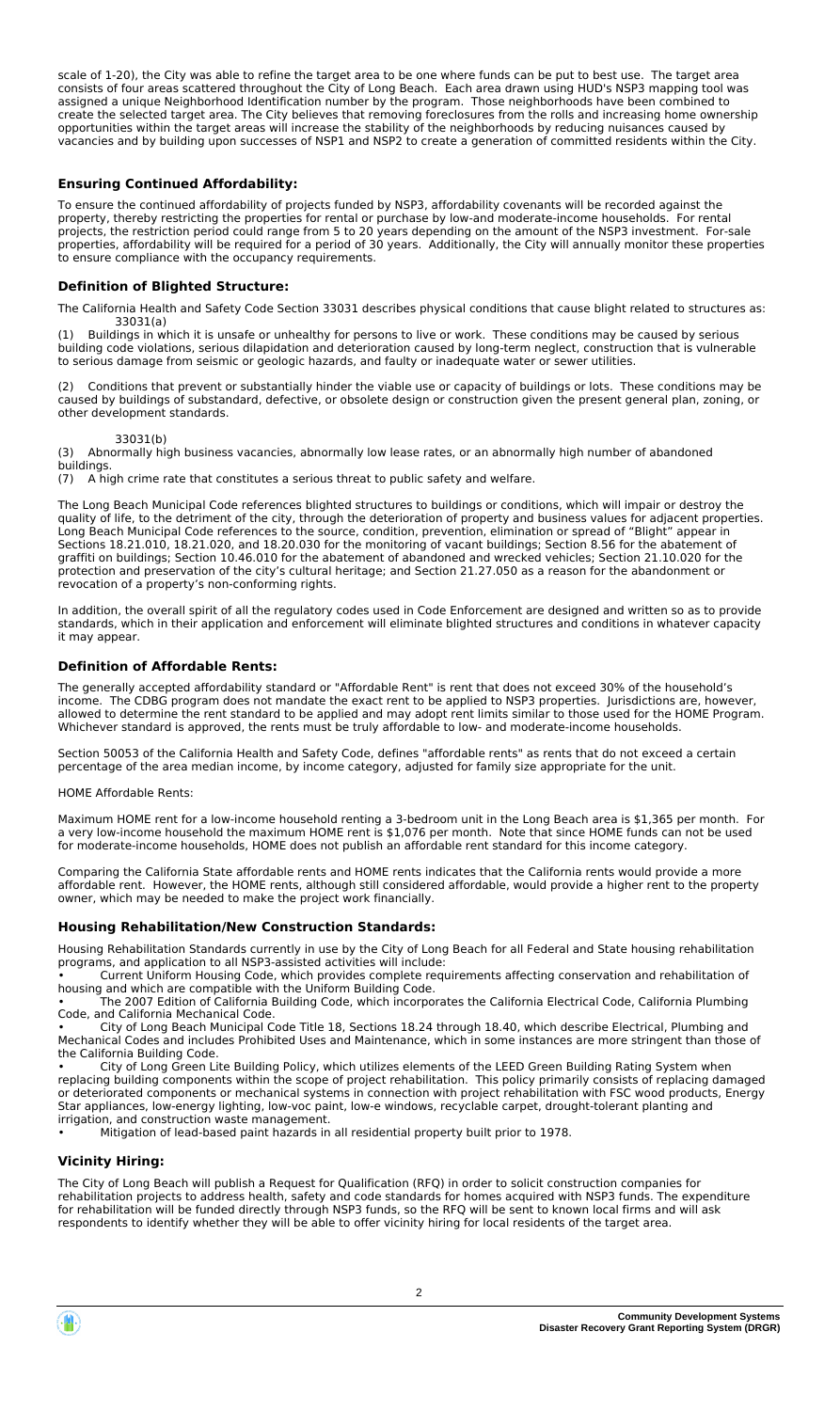scale of 1-20), the City was able to refine the target area to be one where funds can be put to best use. The target area consists of four areas scattered throughout the City of Long Beach. Each area drawn using HUD's NSP3 mapping tool was assigned a unique Neighborhood Identification number by the program. Those neighborhoods have been combined to create the selected target area. The City believes that removing foreclosures from the rolls and increasing home ownership opportunities within the target areas will increase the stability of the neighborhoods by reducing nuisances caused by vacancies and by building upon successes of NSP1 and NSP2 to create a generation of committed residents within the City.

#### **Ensuring Continued Affordability:**

To ensure the continued affordability of projects funded by NSP3, affordability covenants will be recorded against the property, thereby restricting the properties for rental or purchase by low-and moderate-income households. For rental projects, the restriction period could range from 5 to 20 years depending on the amount of the NSP3 investment. For-sale properties, affordability will be required for a period of 30 years. Additionally, the City will annually monitor these properties to ensure compliance with the occupancy requirements.

#### **Definition of Blighted Structure:**

The California Health and Safety Code Section 33031 describes physical conditions that cause blight related to structures as:

33031(a)<br>(1) Buildings in w Buildings in which it is unsafe or unhealthy for persons to live or work. These conditions may be caused by serious building code violations, serious dilapidation and deterioration caused by long-term neglect, construction that is vulnerable to serious damage from seismic or geologic hazards, and faulty or inadequate water or sewer utilities.

(2) Conditions that prevent or substantially hinder the viable use or capacity of buildings or lots. These conditions may be caused by buildings of substandard, defective, or obsolete design or construction given the present general plan, zoning, or other development standards.

33031(b)<br>(3) Abnormally hi Abnormally high business vacancies, abnormally low lease rates, or an abnormally high number of abandoned buildings.<br>(7) A hi

A high crime rate that constitutes a serious threat to public safety and welfare.

The Long Beach Municipal Code references blighted structures to buildings or conditions, which will impair or destroy the quality of life, to the detriment of the city, through the deterioration of property and business values for adjacent properties. Long Beach Municipal Code references to the source, condition, prevention, elimination or spread of "Blight" appear in Sections 18.21.010, 18.21.020, and 18.20.030 for the monitoring of vacant buildings; Section 8.56 for the abatement of graffiti on buildings; Section 10.46.010 for the abatement of abandoned and wrecked vehicles; Section 21.10.020 for the protection and preservation of the city's cultural heritage; and Section 21.27.050 as a reason for the abandonment or revocation of a property's non-conforming rights.

In addition, the overall spirit of all the regulatory codes used in Code Enforcement are designed and written so as to provide standards, which in their application and enforcement will eliminate blighted structures and conditions in whatever capacity it may appear.

#### **Definition of Affordable Rents:**

The generally accepted affordability standard or "Affordable Rent" is rent that does not exceed 30% of the household's income. The CDBG program does not mandate the exact rent to be applied to NSP3 properties. Jurisdictions are, however, allowed to determine the rent standard to be applied and may adopt rent limits similar to those used for the HOME Program. Whichever standard is approved, the rents must be truly affordable to low- and moderate-income households.

Section 50053 of the California Health and Safety Code, defines "affordable rents" as rents that do not exceed a certain percentage of the area median income, by income category, adjusted for family size appropriate for the unit.

HOME Affordable Rents:

Maximum HOME rent for a low-income household renting a 3-bedroom unit in the Long Beach area is \$1,365 per month. For a very low-income household the maximum HOME rent is \$1,076 per month. Note that since HOME funds can not be used for moderate-income households, HOME does not publish an affordable rent standard for this income category.

Comparing the California State affordable rents and HOME rents indicates that the California rents would provide a more affordable rent. However, the HOME rents, although still considered affordable, would provide a higher rent to the property owner, which may be needed to make the project work financially.

#### **Housing Rehabilitation/New Construction Standards:**

Housing Rehabilitation Standards currently in use by the City of Long Beach for all Federal and State housing rehabilitation programs, and application to all NSP3-assisted activities will include:

• Current Uniform Housing Code, which provides complete requirements affecting conservation and rehabilitation of housing and which are compatible with the Uniform Building Code.

• The 2007 Edition of California Building Code, which incorporates the California Electrical Code, California Plumbing Code, and California Mechanical Code.

• City of Long Beach Municipal Code Title 18, Sections 18.24 through 18.40, which describe Electrical, Plumbing and Mechanical Codes and includes Prohibited Uses and Maintenance, which in some instances are more stringent than those of the California Building Code.

City of Long Green Lite Building Policy, which utilizes elements of the LEED Green Building Rating System when replacing building components within the scope of project rehabilitation. This policy primarily consists of replacing damaged or deteriorated components or mechanical systems in connection with project rehabilitation with FSC wood products, Energy Star appliances, low-energy lighting, low-voc paint, low-e windows, recyclable carpet, drought-tolerant planting and irrigation, and construction waste management.

Mitigation of lead-based paint hazards in all residential property built prior to 1978.

#### **Vicinity Hiring:**

The City of Long Beach will publish a Request for Qualification (RFQ) in order to solicit construction companies for rehabilitation projects to address health, safety and code standards for homes acquired with NSP3 funds. The expenditure for rehabilitation will be funded directly through NSP3 funds, so the RFQ will be sent to known local firms and will ask respondents to identify whether they will be able to offer vicinity hiring for local residents of the target area.

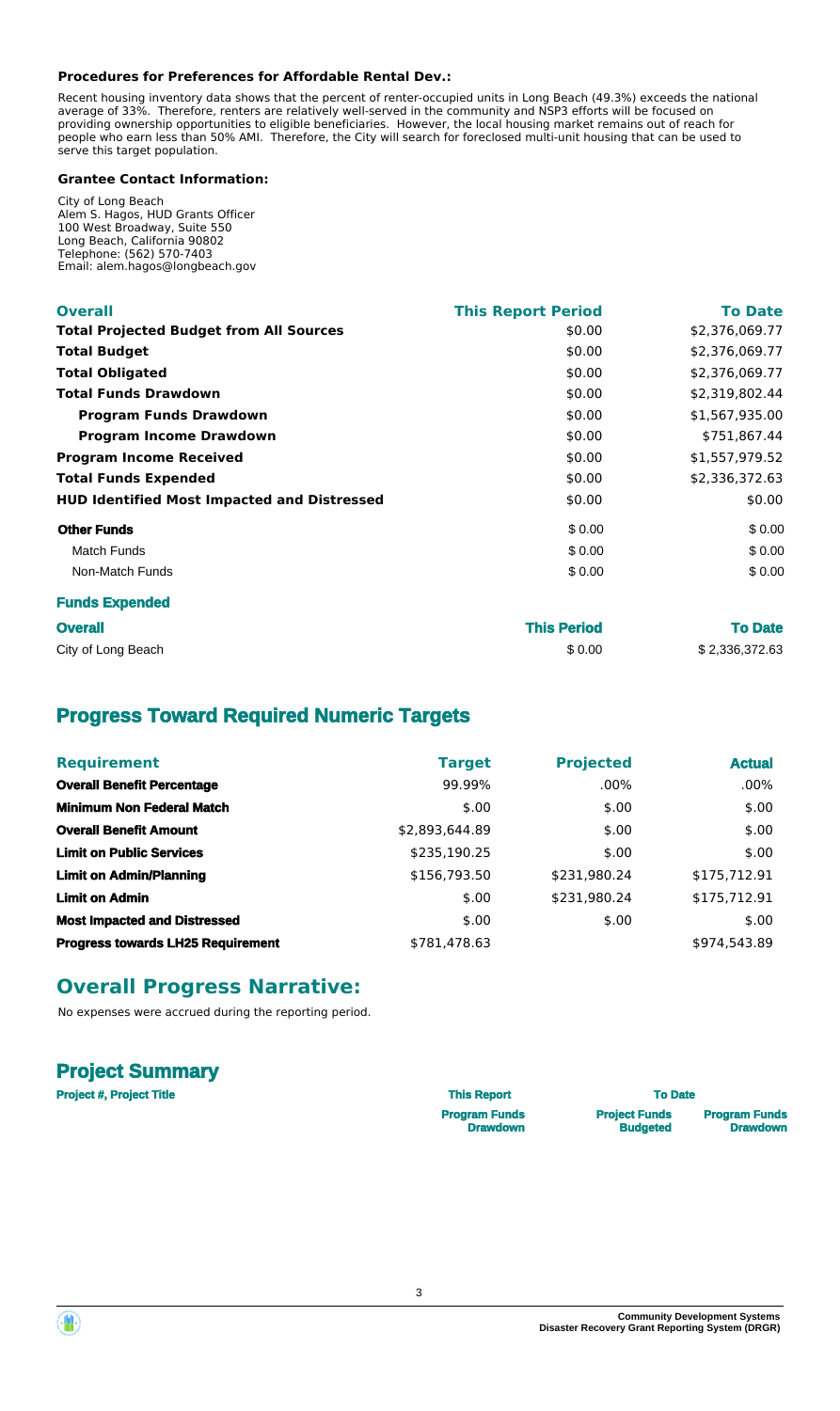#### **Procedures for Preferences for Affordable Rental Dev.:**

Recent housing inventory data shows that the percent of renter-occupied units in Long Beach (49.3%) exceeds the national average of 33%. Therefore, renters are relatively well-served in the community and NSP3 efforts will be focused on providing ownership opportunities to eligible beneficiaries. However, the local housing market remains out of reach for people who earn less than 50% AMI. Therefore, the City will search for foreclosed multi-unit housing that can be used to serve this target population.

#### **Grantee Contact Information:**

City of Long Beach Alem S. Hagos, HUD Grants Officer 100 West Broadway, Suite 550 Long Beach, California 90802 Telephone: (562) 570-7403 Email: alem.hagos@longbeach.gov

| <b>Overall</b>                                     | <b>This Report Period</b> | <b>To Date</b> |
|----------------------------------------------------|---------------------------|----------------|
| <b>Total Projected Budget from All Sources</b>     | \$0.00                    | \$2,376,069.77 |
| <b>Total Budget</b>                                | \$0.00                    | \$2,376,069.77 |
| <b>Total Obligated</b>                             | \$0.00                    | \$2,376,069.77 |
| <b>Total Funds Drawdown</b>                        | \$0.00                    | \$2,319,802.44 |
| <b>Program Funds Drawdown</b>                      | \$0.00                    | \$1,567,935.00 |
| <b>Program Income Drawdown</b>                     | \$0.00                    | \$751,867.44   |
| <b>Program Income Received</b>                     | \$0.00                    | \$1,557,979.52 |
| <b>Total Funds Expended</b>                        | \$0.00                    | \$2,336,372.63 |
| <b>HUD Identified Most Impacted and Distressed</b> | \$0.00                    | \$0.00         |
| <b>Other Funds</b>                                 | \$0.00                    | \$0.00         |
| <b>Match Funds</b>                                 | \$0.00                    | \$0.00         |
| Non-Match Funds                                    | \$0.00                    | \$0.00         |
| <b>Funds Expended</b>                              |                           |                |

| <b>Overall</b>     | <b>This Period</b> | <b>To Date</b> |
|--------------------|--------------------|----------------|
| City of Long Beach | \$0.00             | \$2,336,372.63 |

# **Progress Toward Required Numeric Targets**

| <b>Requirement</b>                       | <b>Target</b>  | <b>Projected</b> | <b>Actual</b> |
|------------------------------------------|----------------|------------------|---------------|
| <b>Overall Benefit Percentage</b>        | 99.99%         | $.00\%$          | $.00\%$       |
| <b>Minimum Non Federal Match</b>         | \$.00          | \$.00            | \$.00         |
| <b>Overall Benefit Amount</b>            | \$2,893,644.89 | \$.00            | \$.00         |
| <b>Limit on Public Services</b>          | \$235,190.25   | \$.00            | \$.00         |
| <b>Limit on Admin/Planning</b>           | \$156,793.50   | \$231,980.24     | \$175,712.91  |
| <b>Limit on Admin</b>                    | \$.00          | \$231,980.24     | \$175,712.91  |
| <b>Most Impacted and Distressed</b>      | \$.00          | \$.00            | \$.00         |
| <b>Progress towards LH25 Requirement</b> | \$781,478.63   |                  | \$974,543.89  |

### **Overall Progress Narrative:**

No expenses were accrued during the reporting period.

### **Project Summary**

| <b>Project #, Project Title</b> | <b>This Report</b>   | <b>To Date</b>       |                      |
|---------------------------------|----------------------|----------------------|----------------------|
|                                 | <b>Program Funds</b> | <b>Project Funds</b> | <b>Program Funds</b> |
|                                 | <b>Drawdown</b>      | <b>Budgeted</b>      | <b>Drawdown</b>      |